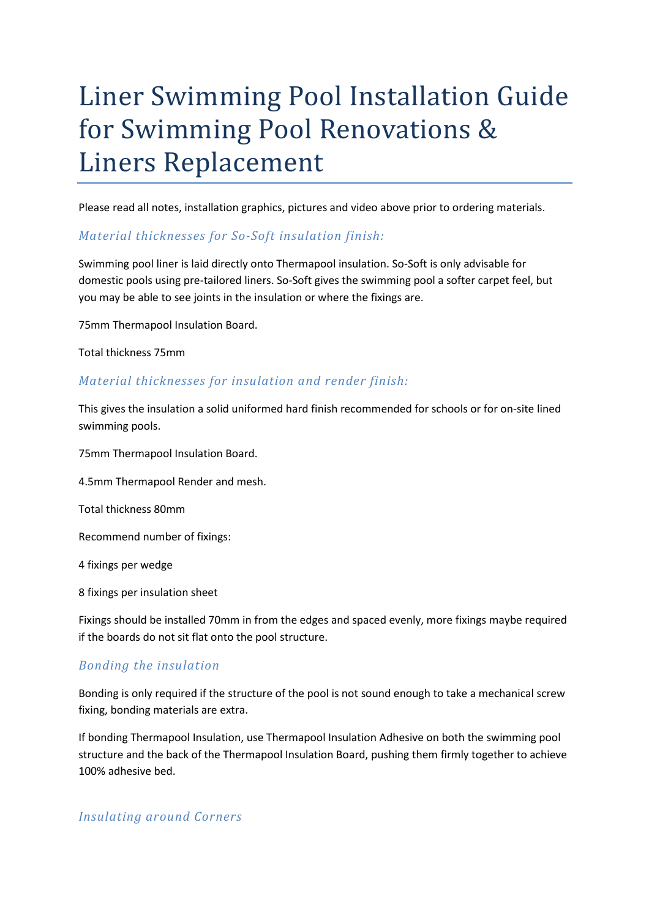# Liner Swimming Pool Installation Guide for Swimming Pool Renovations & Liners Replacement

Please read all notes, installation graphics, pictures and video above prior to ordering materials.

#### Material thicknesses for So-Soft insulation finish:

Swimming pool liner is laid directly onto Thermapool insulation. So-Soft is only advisable for domestic pools using pre-tailored liners. So-Soft gives the swimming pool a softer carpet feel, but you may be able to see joints in the insulation or where the fixings are.

75mm Thermapool Insulation Board.

Total thickness 75mm

#### Material thicknesses for insulation and render finish:

This gives the insulation a solid uniformed hard finish recommended for schools or for on-site lined swimming pools.

75mm Thermapool Insulation Board.

4.5mm Thermapool Render and mesh.

Total thickness 80mm

Recommend number of fixings:

4 fixings per wedge

8 fixings per insulation sheet

Fixings should be installed 70mm in from the edges and spaced evenly, more fixings maybe required if the boards do not sit flat onto the pool structure.

#### Bonding the insulation

Bonding is only required if the structure of the pool is not sound enough to take a mechanical screw fixing, bonding materials are extra.

If bonding Thermapool Insulation, use Thermapool Insulation Adhesive on both the swimming pool structure and the back of the Thermapool Insulation Board, pushing them firmly together to achieve 100% adhesive bed.

#### Insulating around Corners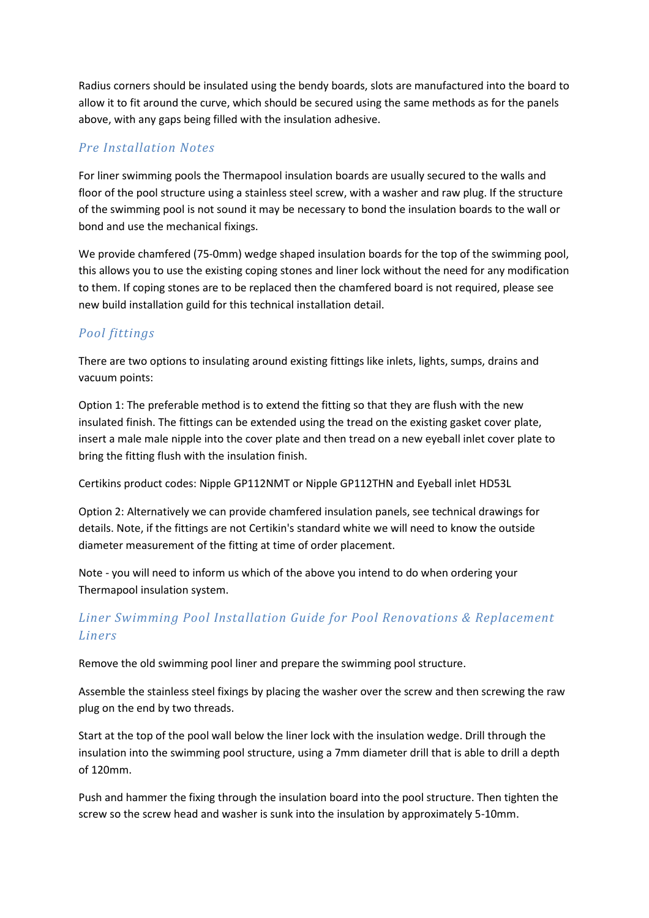Radius corners should be insulated using the bendy boards, slots are manufactured into the board to allow it to fit around the curve, which should be secured using the same methods as for the panels above, with any gaps being filled with the insulation adhesive.

### Pre Installation Notes

For liner swimming pools the Thermapool insulation boards are usually secured to the walls and floor of the pool structure using a stainless steel screw, with a washer and raw plug. If the structure of the swimming pool is not sound it may be necessary to bond the insulation boards to the wall or bond and use the mechanical fixings.

We provide chamfered (75-0mm) wedge shaped insulation boards for the top of the swimming pool, this allows you to use the existing coping stones and liner lock without the need for any modification to them. If coping stones are to be replaced then the chamfered board is not required, please see new build installation guild for this technical installation detail.

## Pool fittings

There are two options to insulating around existing fittings like inlets, lights, sumps, drains and vacuum points:

Option 1: The preferable method is to extend the fitting so that they are flush with the new insulated finish. The fittings can be extended using the tread on the existing gasket cover plate, insert a male male nipple into the cover plate and then tread on a new eyeball inlet cover plate to bring the fitting flush with the insulation finish.

Certikins product codes: Nipple GP112NMT or Nipple GP112THN and Eyeball inlet HD53L

Option 2: Alternatively we can provide chamfered insulation panels, see technical drawings for details. Note, if the fittings are not Certikin's standard white we will need to know the outside diameter measurement of the fitting at time of order placement.

Note - you will need to inform us which of the above you intend to do when ordering your Thermapool insulation system.

## Liner Swimming Pool Installation Guide for Pool Renovations & Replacement Liners

Remove the old swimming pool liner and prepare the swimming pool structure.

Assemble the stainless steel fixings by placing the washer over the screw and then screwing the raw plug on the end by two threads.

Start at the top of the pool wall below the liner lock with the insulation wedge. Drill through the insulation into the swimming pool structure, using a 7mm diameter drill that is able to drill a depth of 120mm.

Push and hammer the fixing through the insulation board into the pool structure. Then tighten the screw so the screw head and washer is sunk into the insulation by approximately 5-10mm.